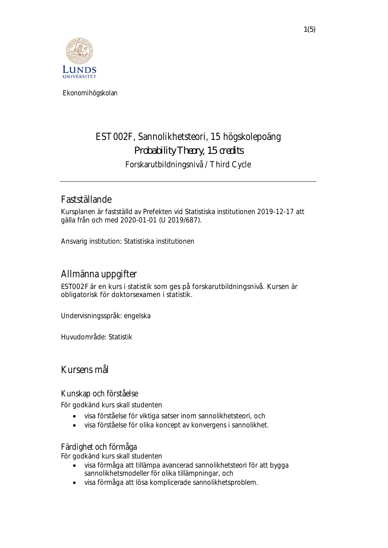

 **Ekonomihögskolan**

# **EST002F, Sannolikhetsteori, 15 högskolepoäng** *Probability Theory, 15 credits* **Forskarutbildningsnivå / Third Cycle**

## **Fastställande**

Kursplanen är fastställd av Prefekten vid Statistiska institutionen 2019-12-17 att gälla från och med 2020-01-01 (U 2019/687).

*Ansvarig institution:* Statistiska institutionen

## **Allmänna uppgifter**

EST002F är en kurs i statistik som ges på forskarutbildningsnivå. Kursen är obligatorisk för doktorsexamen i statistik.

*Undervisningsspråk*: engelska

*Huvudområde:* Statistik

**Kursens mål**

**Kunskap och förståelse**

För godkänd kurs skall studenten

- · visa förståelse för viktiga satser inom sannolikhetsteori, och
- · visa förståelse för olika koncept av konvergens i sannolikhet.

**Färdighet och förmåga**

För godkänd kurs skall studenten

- · visa förmåga att tillämpa avancerad sannolikhetsteori för att bygga sannolikhetsmodeller för olika tillämpningar, och
- · visa förmåga att lösa komplicerade sannolikhetsproblem.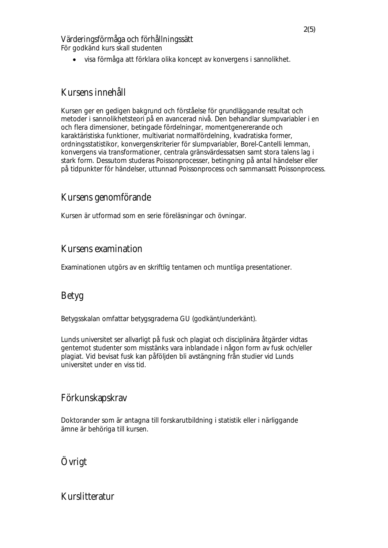**Värderingsförmåga och förhållningssätt** För godkänd kurs skall studenten

· visa förmåga att förklara olika koncept av konvergens i sannolikhet.

#### **Kursens innehåll**

Kursen ger en gedigen bakgrund och förståelse för grundläggande resultat och metoder i sannolikhetsteori på en avancerad nivå. Den behandlar slumpvariabler i en och flera dimensioner, betingade fördelningar, momentgenererande och karaktäristiska funktioner, multivariat normalfördelning, kvadratiska former, ordningsstatistikor, konvergenskriterier för slumpvariabler, Borel-Cantelli lemman, konvergens via transformationer, centrala gränsvärdessatsen samt stora talens lag i stark form. Dessutom studeras Poissonprocesser, betingning på antal händelser eller på tidpunkter för händelser, uttunnad Poissonprocess och sammansatt Poissonprocess.

## **Kursens genomförande**

Kursen är utformad som en serie föreläsningar och övningar.

## **Kursens examination**

Examinationen utgörs av en skriftlig tentamen och muntliga presentationer.

## **Betyg**

Betygsskalan omfattar betygsgraderna GU (godkänt/underkänt).

*Lunds universitet ser allvarligt på fusk och plagiat och disciplinära åtgärder vidtas gentemot studenter som misstänks vara inblandade i någon form av fusk och/eller plagiat. Vid bevisat fusk kan påföljden bli avstängning från studier vid Lunds universitet under en viss tid.*

#### **Förkunskapskrav**

Doktorander som är antagna till forskarutbildning i statistik eller i närliggande ämne är behöriga till kursen.

**Övrigt**

## **Kurslitteratur**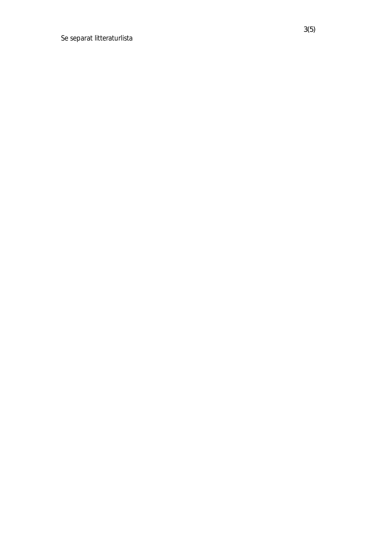Se separat litteraturlista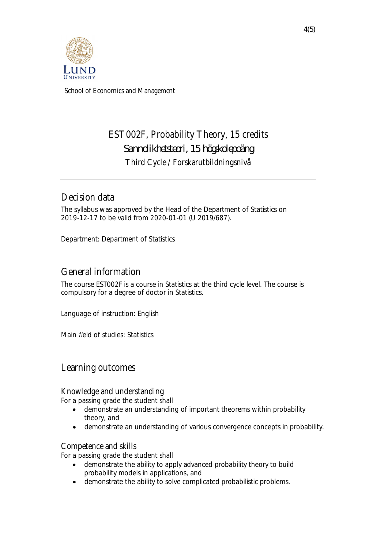

 **School of Economics and Management**

# **EST002F, Probability Theory, 15 credits** *Sannolikhetsteori, 15 högskolepoäng* **Third Cycle / Forskarutbildningsnivå**

## **Decision data**

The syllabus was approved by the Head of the Department of Statistics on 2019-12-17 to be valid from 2020-01-01 (U 2019/687).

*Department:* Department of Statistics

## **General information**

The course EST002F is a course in Statistics at the third cycle level. The course is compulsory for a degree of doctor in Statistics.

*Language of instruction*: English

*Main field of studies:* Statistics

#### **Learning outcomes**

**Knowledge and understanding**

For a passing grade the student shall

- · demonstrate an understanding of important theorems within probability theory, and
- · demonstrate an understanding of various convergence concepts in probability.

#### **Competence and skills**

For a passing grade the student shall

- · demonstrate the ability to apply advanced probability theory to build probability models in applications, and
- · demonstrate the ability to solve complicated probabilistic problems.